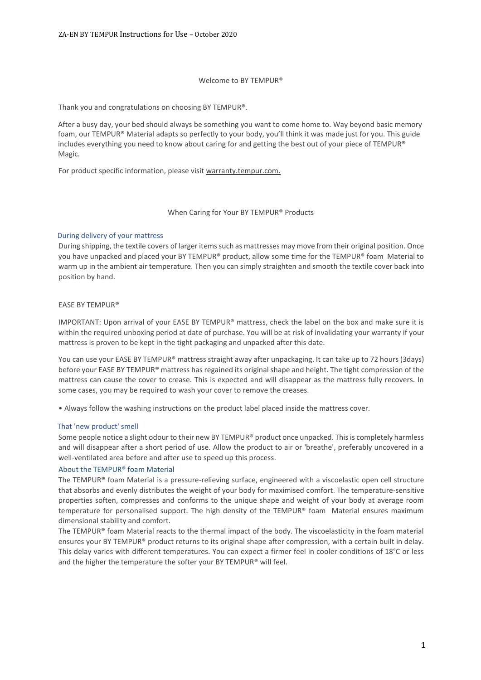### Welcome to BY TEMPUR®

Thank you and congratulations on choosing BY TEMPUR®.

After a busy day, your bed should always be something you want to come home to. Way beyond basic memory foam, our TEMPUR® Material adapts so perfectly to your body, you'll think it was made just for you. This guide includes everything you need to know about caring for and getting the best out of your piece of TEMPUR® Magic.

For product specific information, please visit warranty.tempur.com.

#### When Caring for Your BY TEMPUR® Products

### During delivery of your mattress

During shipping, the textile covers of larger items such as mattresses may move from their original position. Once you have unpacked and placed your BY TEMPUR® product, allow some time for the TEMPUR® foam Material to warm up in the ambient air temperature. Then you can simply straighten and smooth the textile cover back into position by hand.

### EASE BY TEMPUR®

IMPORTANT: Upon arrival of your EASE BY TEMPUR® mattress, check the label on the box and make sure it is within the required unboxing period at date of purchase. You will be at risk of invalidating your warranty if your mattress is proven to be kept in the tight packaging and unpacked after this date.

You can use your EASE BY TEMPUR® mattress straight away after unpackaging. It can take up to 72 hours (3days) before your EASE BY TEMPUR® mattress has regained its original shape and height. The tight compression of the mattress can cause the cover to crease. This is expected and will disappear as the mattress fully recovers. In some cases, you may be required to wash your cover to remove the creases.

• Always follow the washing instructions on the product label placed inside the mattress cover.

### That 'new product' smell

Some people notice a slight odour to their new BY TEMPUR® product once unpacked. This is completely harmless and will disappear after a short period of use. Allow the product to air or 'breathe', preferably uncovered in a well-ventilated area before and after use to speed up this process.

### About the TEMPUR® foam Material

The TEMPUR® foam Material is a pressure-relieving surface, engineered with a viscoelastic open cell structure that absorbs and evenly distributes the weight of your body for maximised comfort. The temperature-sensitive properties soften, compresses and conforms to the unique shape and weight of your body at average room temperature for personalised support. The high density of the TEMPUR® foam Material ensures maximum dimensional stability and comfort.

The TEMPUR® foam Material reacts to the thermal impact of the body. The viscoelasticity in the foam material ensures your BY TEMPUR® product returns to its original shape after compression, with a certain built in delay. This delay varies with different temperatures. You can expect a firmer feel in cooler conditions of 18°C or less and the higher the temperature the softer your BY TEMPUR® will feel.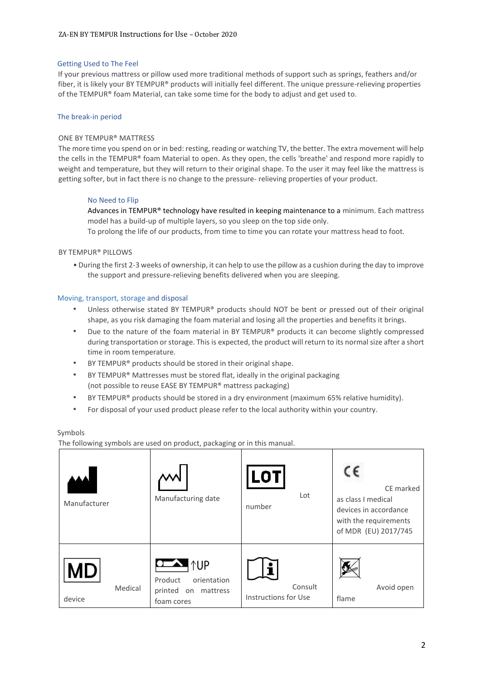## Getting Used to The Feel

If your previous mattress or pillow used more traditional methods of support such as springs, feathers and/or fiber, it is likely your BY TEMPUR® products will initially feel different. The unique pressure-relieving properties of the TEMPUR® foam Material, can take some time for the body to adjust and get used to.

## The break-in period

## ONE BY TEMPUR® MATTRESS

The more time you spend on or in bed: resting, reading or watching TV, the better. The extra movement will help the cells in the TEMPUR® foam Material to open. As they open, the cells 'breathe' and respond more rapidly to weight and temperature, but they will return to their original shape. To the user it may feel like the mattress is getting softer, but in fact there is no change to the pressure- relieving properties of your product.

### No Need to Flip

Advances in TEMPUR<sup>®</sup> technology have resulted in keeping maintenance to a minimum. Each mattress model has a build-up of multiple layers, so you sleep on the top side only.

To prolong the life of our products, from time to time you can rotate your mattress head to foot.

### BY TEMPUR® PILLOWS

• During the first 2-3 weeks of ownership, it can help to use the pillow as a cushion during the day to improve the support and pressure-relieving benefits delivered when you are sleeping.

### Moving, transport, storage and disposal

- Unless otherwise stated BY TEMPUR® products should NOT be bent or pressed out of their original shape, as you risk damaging the foam material and losing all the properties and benefits it brings.
- Due to the nature of the foam material in BY TEMPUR® products it can become slightly compressed during transportation or storage. This is expected, the product will return to its normal size after a short time in room temperature.
- BY TEMPUR® products should be stored in their original shape.
- BY TEMPUR® Mattresses must be stored flat, ideally in the original packaging (not possible to reuse EASE BY TEMPUR® mattress packaging)
- BY TEMPUR® products should be stored in a dry environment (maximum 65% relative humidity).
- For disposal of your used product please refer to the local authority within your country.

### Symbols

The following symbols are used on product, packaging or in this manual.

| Manufacturer                   | Manufacturing date                                                                                  | LOTI<br>Lot<br>number           | CE marked<br>as class I medical<br>devices in accordance<br>with the requirements<br>of MDR (EU) 2017/745 |
|--------------------------------|-----------------------------------------------------------------------------------------------------|---------------------------------|-----------------------------------------------------------------------------------------------------------|
| <b>MD</b><br>Medical<br>device | $\bullet$ $\bullet$ $\uparrow$ UP<br>orientation<br>Product<br>printed on<br>mattress<br>foam cores | Consult<br>Instructions for Use | Avoid open<br>flame                                                                                       |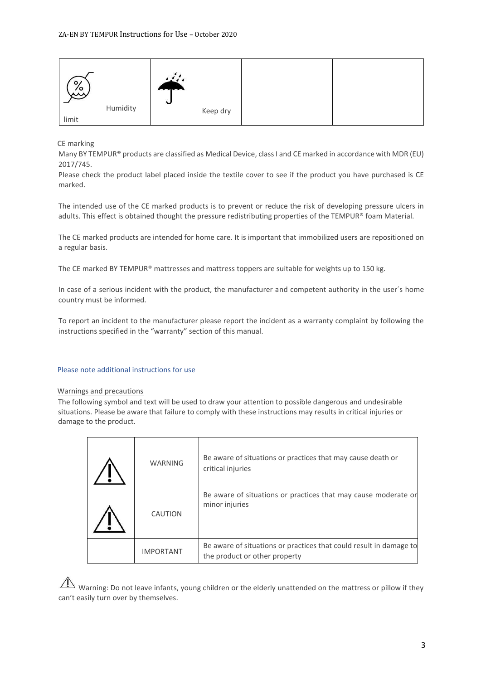| $\circ$<br>یگیم | Humidity | $\sim$<br>$\ddot{\phantom{0}}$ |          |  |
|-----------------|----------|--------------------------------|----------|--|
|                 |          |                                | Keep dry |  |
| limit           |          |                                |          |  |

CE marking

Many BY TEMPUR® products are classified as Medical Device, class I and CE marked in accordance with MDR (EU) 2017/745.

Please check the product label placed inside the textile cover to see if the product you have purchased is CE marked.

The intended use of the CE marked products is to prevent or reduce the risk of developing pressure ulcers in adults. This effect is obtained thought the pressure redistributing properties of the TEMPUR® foam Material.

The CE marked products are intended for home care. It is important that immobilized users are repositioned on a regular basis.

The CE marked BY TEMPUR® mattresses and mattress toppers are suitable for weights up to 150 kg.

In case of a serious incident with the product, the manufacturer and competent authority in the user´s home country must be informed.

To report an incident to the manufacturer please report the incident as a warranty complaint by following the instructions specified in the "warranty" section of this manual.

### Please note additional instructions for use

#### Warnings and precautions

The following symbol and text will be used to draw your attention to possible dangerous and undesirable situations. Please be aware that failure to comply with these instructions may results in critical injuries or damage to the product.

| <b>WARNING</b>   | Be aware of situations or practices that may cause death or<br>critical injuries                    |
|------------------|-----------------------------------------------------------------------------------------------------|
| CAUTION          | Be aware of situations or practices that may cause moderate or<br>minor injuries                    |
| <b>IMPORTANT</b> | Be aware of situations or practices that could result in damage to<br>the product or other property |

 $\overline{\Delta}$  Warning: Do not leave infants, young children or the elderly unattended on the mattress or pillow if they can't easily turn over by themselves.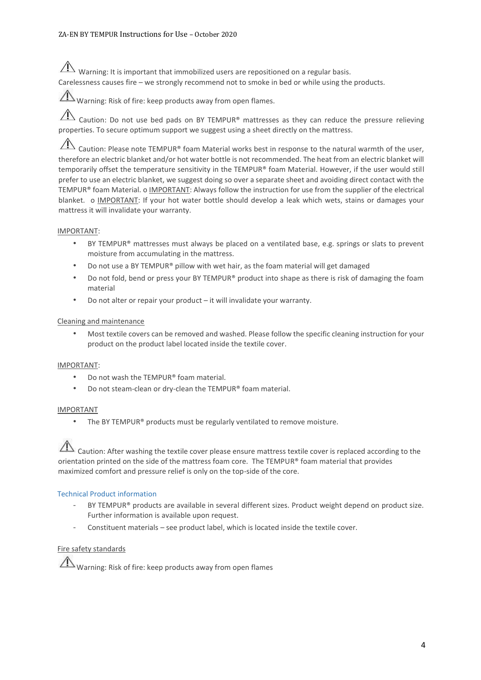$\hat{A}$  Warning: It is important that immobilized users are repositioned on a regular basis.

Carelessness causes fire – we strongly recommend not to smoke in bed or while using the products.

Warning: Risk of fire: keep products away from open flames.

 $\overline{\Lambda}$  Caution: Do not use bed pads on BY TEMPUR® mattresses as they can reduce the pressure relieving properties. To secure optimum support we suggest using a sheet directly on the mattress.

 $\sqrt{1}$ Caution: Please note TEMPUR® foam Material works best in response to the natural warmth of the user, therefore an electric blanket and/or hot water bottle is not recommended. The heat from an electric blanket will temporarily offset the temperature sensitivity in the TEMPUR® foam Material. However, if the user would still prefer to use an electric blanket, we suggest doing so over a separate sheet and avoiding direct contact with the TEMPUR® foam Material. o IMPORTANT: Always follow the instruction for use from the supplier of the electrical blanket. o IMPORTANT: If your hot water bottle should develop a leak which wets, stains or damages your mattress it will invalidate your warranty.

# IMPORTANT:

- BY TEMPUR® mattresses must always be placed on a ventilated base, e.g. springs or slats to prevent moisture from accumulating in the mattress.
- Do not use a BY TEMPUR® pillow with wet hair, as the foam material will get damaged
- Do not fold, bend or press your BY TEMPUR® product into shape as there is risk of damaging the foam material
- Do not alter or repair your product it will invalidate your warranty.

# Cleaning and maintenance

• Most textile covers can be removed and washed. Please follow the specific cleaning instruction for your product on the product label located inside the textile cover.

# IMPORTANT:

- Do not wash the TEMPUR® foam material.
- Do not steam-clean or dry-clean the TEMPUR® foam material.

# IMPORTANT

The BY TEMPUR® products must be regularly ventilated to remove moisture.

 $\Lambda$  Caution: After washing the textile cover please ensure mattress textile cover is replaced according to the orientation printed on the side of the mattress foam core. The TEMPUR® foam material that provides maximized comfort and pressure relief is only on the top-side of the core.

# Technical Product information

- BY TEMPUR® products are available in several different sizes. Product weight depend on product size. Further information is available upon request.
- Constituent materials see product label, which is located inside the textile cover.

# Fire safety standards

 $\Lambda$  Warning: Risk of fire: keep products away from open flames